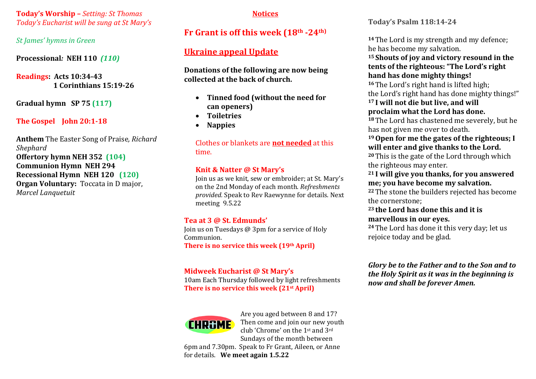**Today's Worship –** *Setting: St Thomas Today's Eucharist will be sung at St Mary's*

*St James' hymns in Green* 

**Processional***:* **NEH 110** *(110)*

**Readings: Acts 10:34-43 1 Corinthians 15:19-26**

**Gradual hymn SP 75 (117)**

#### **The Gospel John 20:1-18**

**Anthem** The Easter Song of Praise*, Richard Shephard* **Offertory hymn NEH 352 (104) Communion Hymn NEH 294 Recessional Hymn NEH 120 (120) Organ Voluntary:** Toccata in D major, *Marcel Lanquetuit*

#### **Notices**

### **Fr Grant is off this week (18th -24th)**

## **Ukraine appeal Update**

**Donations of the following are now being collected at the back of church.** 

- **Tinned food (without the need for can openers)**
- **Toiletries**
- **Nappies**

Clothes or blankets are **not needed** at this time.

#### **Knit & Natter @ St Mary's**

Join us as we knit, sew or embroider; at St. Mary's on the 2nd Monday of each month. *Refreshments provided.* Speak to Rev Raewynne for details. Next meeting 9.5.22

#### **Tea at 3 @ St. Edmunds'**

Join us on Tuesdays @ 3pm for a service of Holy Communion.

**There is no service this week (19th April)** 

#### **Midweek Eucharist @ St Mary's**

10am Each Thursday followed by light refreshments **There is no service this week (21st April)**



Are you aged between 8 and 17? Then come and join our new youth club 'Chrome' on the 1st and 3rd Sundays of the month between

6pm and 7.30pm. Speak to Fr Grant, Aileen, or Anne for details. **We meet again 1.5.22** 

**Today's Psalm 118:14-24**

**<sup>14</sup>**The Lord is my strength and my defence; he has become my salvation.

**<sup>15</sup> Shouts of joy and victory resound in the tents of the righteous: "The Lord's right hand has done mighty things!**

**<sup>16</sup>**The Lord's right hand is lifted high; the Lord's right hand has done mighty things!"

#### **<sup>17</sup> I will not die but live, and will proclaim what the Lord has done.**

**<sup>18</sup>**The Lord has chastened me severely, but he has not given me over to death.

#### **19Open for me the gates of the righteous; I will enter and give thanks to the Lord.**

**<sup>20</sup>**This is the gate of the Lord through which the righteous may enter.

#### **<sup>21</sup> I will give you thanks, for you answered me; you have become my salvation.**

**<sup>22</sup>**The stone the builders rejected has become the cornerstone;

#### **<sup>23</sup> the Lord has done this and it is marvellous in our eyes.**

**<sup>24</sup>**The Lord has done it this very day; let us rejoice today and be glad.

*Glory be to the Father and to the Son and to the Holy Spirit as it was in the beginning is now and shall be forever Amen.*